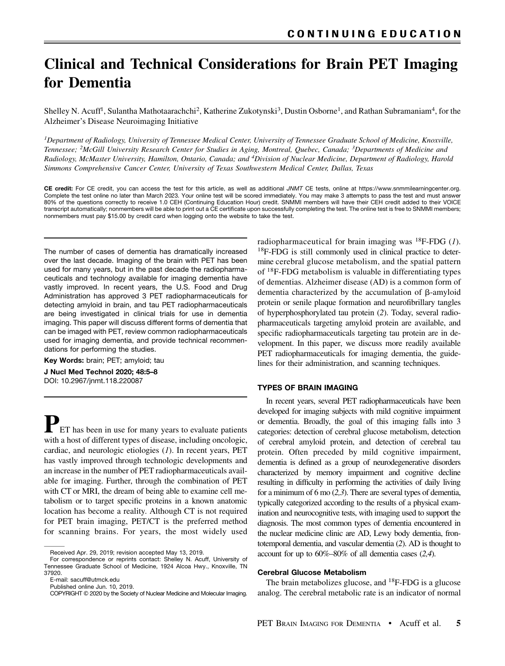# Clinical and Technical Considerations for Brain PET Imaging for Dementia

Shelley N. Acuff<sup>1</sup>, Sulantha Mathotaarachchi<sup>2</sup>, Katherine Zukotynski<sup>3</sup>, Dustin Osborne<sup>1</sup>, and Rathan Subramaniam<sup>4</sup>, for the Alzheimer's Disease Neuroimaging Initiative

<sup>1</sup>Department of Radiology, University of Tennessee Medical Center, University of Tennessee Graduate School of Medicine, Knoxville, Tennessee; <sup>2</sup>McGill University Research Center for Studies in Aging, Montreal, Quebec, Canada; <sup>3</sup>Departments of Medicine and Radiology, McMaster University, Hamilton, Ontario, Canada; and 4Division of Nuclear Medicine, Department of Radiology, Harold Simmons Comprehensive Cancer Center, University of Texas Southwestern Medical Center, Dallas, Texas

CE credit: For CE credit, you can access the test for this article, as well as additional *JNMT* CE tests, online at https://www.snmmilearningcenter.org. Complete the test online no later than March 2023. Your online test will be scored immediately. You may make 3 attempts to pass the test and must answer 80% of the questions correctly to receive 1.0 CEH (Continuing Education Hour) credit. SNMMI members will have their CEH credit added to their VOICE transcript automatically; nonmembers will be able to print out a CE certificate upon successfully completing the test. The online test is free to SNMMI members; nonmembers must pay \$15.00 by credit card when logging onto the website to take the test.

The number of cases of dementia has dramatically increased over the last decade. Imaging of the brain with PET has been used for many years, but in the past decade the radiopharmaceuticals and technology available for imaging dementia have vastly improved. In recent years, the U.S. Food and Drug Administration has approved 3 PET radiopharmaceuticals for detecting amyloid in brain, and tau PET radiopharmaceuticals are being investigated in clinical trials for use in dementia imaging. This paper will discuss different forms of dementia that can be imaged with PET, review common radiopharmaceuticals used for imaging dementia, and provide technical recommendations for performing the studies.

Key Words: brain; PET; amyloid; tau

J Nucl Med Technol 2020; 48:5–8 DOI: 10.2967/jnmt.118.220087

 $\Gamma$  ET has been in use for many years to evaluate patients with a host of different types of disease, including oncologic, cardiac, and neurologic etiologies (1). In recent years, PET has vastly improved through technologic developments and an increase in the number of PET radiopharmaceuticals available for imaging. Further, through the combination of PET with CT or MRI, the dream of being able to examine cell metabolism or to target specific proteins in a known anatomic location has become a reality. Although CT is not required for PET brain imaging, PET/CT is the preferred method for scanning brains. For years, the most widely used

radiopharmaceutical for brain imaging was  ${}^{18}$ F-FDG (1). 18F-FDG is still commonly used in clinical practice to determine cerebral glucose metabolism, and the spatial pattern of 18F-FDG metabolism is valuable in differentiating types of dementias. Alzheimer disease (AD) is a common form of dementia characterized by the accumulation of  $\beta$ -amyloid protein or senile plaque formation and neurofibrillary tangles of hyperphosphorylated tau protein (2). Today, several radiopharmaceuticals targeting amyloid protein are available, and specific radiopharmaceuticals targeting tau protein are in development. In this paper, we discuss more readily available PET radiopharmaceuticals for imaging dementia, the guidelines for their administration, and scanning techniques.

### TYPES OF BRAIN IMAGING

In recent years, several PET radiopharmaceuticals have been developed for imaging subjects with mild cognitive impairment or dementia. Broadly, the goal of this imaging falls into 3 categories: detection of cerebral glucose metabolism, detection of cerebral amyloid protein, and detection of cerebral tau protein. Often preceded by mild cognitive impairment, dementia is defined as a group of neurodegenerative disorders characterized by memory impairment and cognitive decline resulting in difficulty in performing the activities of daily living for a minimum of 6 mo (2,3). There are several types of dementia, typically categorized according to the results of a physical examination and neurocognitive tests, with imaging used to support the diagnosis. The most common types of dementia encountered in the nuclear medicine clinic are AD, Lewy body dementia, frontotemporal dementia, and vascular dementia (2). AD is thought to account for up to 60%–80% of all dementia cases (2,4).

### Cerebral Glucose Metabolism

The brain metabolizes glucose, and <sup>18</sup>F-FDG is a glucose analog. The cerebral metabolic rate is an indicator of normal

Received Apr. 29, 2019; revision accepted May 13, 2019.

For correspondence or reprints contact: Shelley N. Acuff, University of Tennessee Graduate School of Medicine, 1924 Alcoa Hwy., Knoxville, TN 37920.

E-mail: [sacuff@utmck.edu](mailto:sacuff@utmck.edu)

Published online Jun. 10, 2019.

COPYRIGHT © 2020 by the Society of Nuclear Medicine and Molecular Imaging.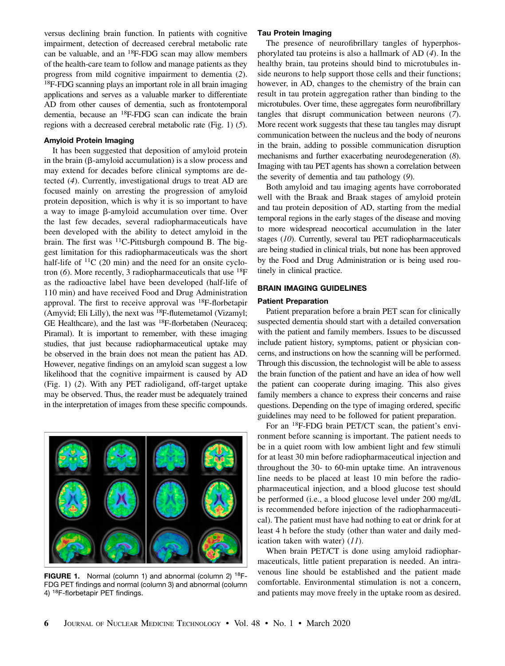versus declining brain function. In patients with cognitive impairment, detection of decreased cerebral metabolic rate can be valuable, and an 18F-FDG scan may allow members of the health-care team to follow and manage patients as they progress from mild cognitive impairment to dementia (2). 18F-FDG scanning plays an important role in all brain imaging applications and serves as a valuable marker to differentiate AD from other causes of dementia, such as frontotemporal dementia, because an 18F-FDG scan can indicate the brain regions with a decreased cerebral metabolic rate (Fig. 1) (5).

# Amyloid Protein Imaging

It has been suggested that deposition of amyloid protein in the brain ( $\beta$ -amyloid accumulation) is a slow process and may extend for decades before clinical symptoms are detected (4). Currently, investigational drugs to treat AD are focused mainly on arresting the progression of amyloid protein deposition, which is why it is so important to have a way to image  $\beta$ -amyloid accumulation over time. Over the last few decades, several radiopharmaceuticals have been developed with the ability to detect amyloid in the brain. The first was 11C-Pittsburgh compound B. The biggest limitation for this radiopharmaceuticals was the short half-life of  ${}^{11}C$  (20 min) and the need for an onsite cyclotron  $(6)$ . More recently, 3 radiopharmaceuticals that use <sup>18</sup>F as the radioactive label have been developed (half-life of 110 min) and have received Food and Drug Administration approval. The first to receive approval was 18F-florbetapir (Amyvid; Eli Lilly), the next was 18F-flutemetamol (Vizamyl; GE Healthcare), and the last was <sup>18</sup>F-florbetaben (Neuraceq; Piramal). It is important to remember, with these imaging studies, that just because radiopharmaceutical uptake may be observed in the brain does not mean the patient has AD. However, negative findings on an amyloid scan suggest a low likelihood that the cognitive impairment is caused by AD (Fig. 1) (2). With any PET radioligand, off-target uptake may be observed. Thus, the reader must be adequately trained in the interpretation of images from these specific compounds.



FIGURE 1. Normal (column 1) and abnormal (column 2) <sup>18</sup>F-FDG PET findings and normal (column 3) and abnormal (column 4) 18F-florbetapir PET findings.

## Tau Protein Imaging

The presence of neurofibrillary tangles of hyperphosphorylated tau proteins is also a hallmark of AD (4). In the healthy brain, tau proteins should bind to microtubules inside neurons to help support those cells and their functions; however, in AD, changes to the chemistry of the brain can result in tau protein aggregation rather than binding to the microtubules. Over time, these aggregates form neurofibrillary tangles that disrupt communication between neurons (7). More recent work suggests that these tau tangles may disrupt communication between the nucleus and the body of neurons in the brain, adding to possible communication disruption mechanisms and further exacerbating neurodegeneration (8). Imaging with tau PET agents has shown a correlation between the severity of dementia and tau pathology (9).

Both amyloid and tau imaging agents have corroborated well with the Braak and Braak stages of amyloid protein and tau protein deposition of AD, starting from the medial temporal regions in the early stages of the disease and moving to more widespread neocortical accumulation in the later stages (10). Currently, several tau PET radiopharmaceuticals are being studied in clinical trials, but none has been approved by the Food and Drug Administration or is being used routinely in clinical practice.

# BRAIN IMAGING GUIDELINES

#### Patient Preparation

Patient preparation before a brain PET scan for clinically suspected dementia should start with a detailed conversation with the patient and family members. Issues to be discussed include patient history, symptoms, patient or physician concerns, and instructions on how the scanning will be performed. Through this discussion, the technologist will be able to assess the brain function of the patient and have an idea of how well the patient can cooperate during imaging. This also gives family members a chance to express their concerns and raise questions. Depending on the type of imaging ordered, specific guidelines may need to be followed for patient preparation.

For an 18F-FDG brain PET/CT scan, the patient's environment before scanning is important. The patient needs to be in a quiet room with low ambient light and few stimuli for at least 30 min before radiopharmaceutical injection and throughout the 30- to 60-min uptake time. An intravenous line needs to be placed at least 10 min before the radiopharmaceutical injection, and a blood glucose test should be performed (i.e., a blood glucose level under 200 mg/dL is recommended before injection of the radiopharmaceutical). The patient must have had nothing to eat or drink for at least 4 h before the study (other than water and daily medication taken with water)  $(11)$ .

When brain PET/CT is done using amyloid radiopharmaceuticals, little patient preparation is needed. An intravenous line should be established and the patient made comfortable. Environmental stimulation is not a concern, and patients may move freely in the uptake room as desired.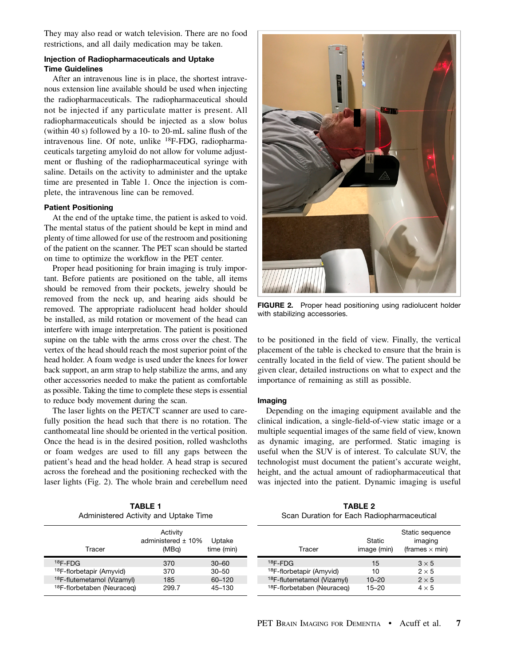They may also read or watch television. There are no food restrictions, and all daily medication may be taken.

# Injection of Radiopharmaceuticals and Uptake Time Guidelines

After an intravenous line is in place, the shortest intravenous extension line available should be used when injecting the radiopharmaceuticals. The radiopharmaceutical should not be injected if any particulate matter is present. All radiopharmaceuticals should be injected as a slow bolus (within 40 s) followed by a 10- to 20-mL saline flush of the intravenous line. Of note, unlike 18F-FDG, radiopharmaceuticals targeting amyloid do not allow for volume adjustment or flushing of the radiopharmaceutical syringe with saline. Details on the activity to administer and the uptake time are presented in Table 1. Once the injection is complete, the intravenous line can be removed.

# Patient Positioning

At the end of the uptake time, the patient is asked to void. The mental status of the patient should be kept in mind and plenty of time allowed for use of the restroom and positioning of the patient on the scanner. The PET scan should be started on time to optimize the workflow in the PET center.

Proper head positioning for brain imaging is truly important. Before patients are positioned on the table, all items should be removed from their pockets, jewelry should be removed from the neck up, and hearing aids should be removed. The appropriate radiolucent head holder should be installed, as mild rotation or movement of the head can interfere with image interpretation. The patient is positioned supine on the table with the arms cross over the chest. The vertex of the head should reach the most superior point of the head holder. A foam wedge is used under the knees for lower back support, an arm strap to help stabilize the arms, and any other accessories needed to make the patient as comfortable as possible. Taking the time to complete these steps is essential to reduce body movement during the scan.

The laser lights on the PET/CT scanner are used to carefully position the head such that there is no rotation. The canthomeatal line should be oriented in the vertical position. Once the head is in the desired position, rolled washcloths or foam wedges are used to fill any gaps between the patient's head and the head holder. A head strap is secured across the forehead and the positioning rechecked with the laser lights (Fig. 2). The whole brain and cerebellum need

> TABLE 1 Administered Activity and Uptake Time



**FIGURE 2.** Proper head positioning using radiolucent holder with stabilizing accessories.

to be positioned in the field of view. Finally, the vertical placement of the table is checked to ensure that the brain is centrally located in the field of view. The patient should be given clear, detailed instructions on what to expect and the importance of remaining as still as possible.

# Imaging

Depending on the imaging equipment available and the clinical indication, a single-field-of-view static image or a multiple sequential images of the same field of view, known as dynamic imaging, are performed. Static imaging is useful when the SUV is of interest. To calculate SUV, the technologist must document the patient's accurate weight, height, and the actual amount of radiopharmaceutical that was injected into the patient. Dynamic imaging is useful

| <b>TABLE 2</b>                             |  |  |  |  |  |  |  |
|--------------------------------------------|--|--|--|--|--|--|--|
| Scan Duration for Each Radiopharmaceutical |  |  |  |  |  |  |  |

| Tracer                                 | Activity<br>administered $\pm$ 10%<br>(MBg) | Uptake<br>time (min) |  | Tracer                                 | Static<br>image (min) | Static sequence<br>imaging<br>(frames $\times$ min) |
|----------------------------------------|---------------------------------------------|----------------------|--|----------------------------------------|-----------------------|-----------------------------------------------------|
| $18$ F-FDG                             | 370                                         | $30 - 60$            |  | $18$ F-FDG                             | 15                    | $3 \times 5$                                        |
| <sup>18</sup> F-florbetapir (Amyvid)   | 370                                         | $30 - 50$            |  | <sup>18</sup> F-florbetapir (Amyvid)   | 10                    | $2 \times 5$                                        |
| <sup>18</sup> F-flutemetamol (Vizamyl) | 185                                         | $60 - 120$           |  | <sup>18</sup> F-flutemetamol (Vizamyl) | $10 - 20$             | $2 \times 5$                                        |
| <sup>18</sup> F-florbetaben (Neuraceg) | 299.7                                       | 45-130               |  | <sup>18</sup> F-florbetaben (Neuraceg) | $15 - 20$             | $4 \times 5$                                        |